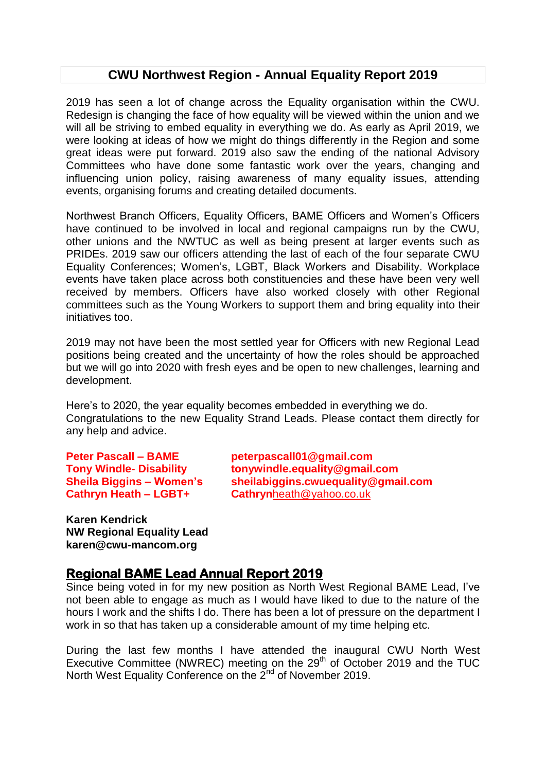## **CWU Northwest Region - Annual Equality Report 2019**

2019 has seen a lot of change across the Equality organisation within the CWU. Redesign is changing the face of how equality will be viewed within the union and we will all be striving to embed equality in everything we do. As early as April 2019, we were looking at ideas of how we might do things differently in the Region and some great ideas were put forward. 2019 also saw the ending of the national Advisory Committees who have done some fantastic work over the years, changing and influencing union policy, raising awareness of many equality issues, attending events, organising forums and creating detailed documents.

Northwest Branch Officers, Equality Officers, BAME Officers and Women's Officers have continued to be involved in local and regional campaigns run by the CWU, other unions and the NWTUC as well as being present at larger events such as PRIDEs. 2019 saw our officers attending the last of each of the four separate CWU Equality Conferences; Women's, LGBT, Black Workers and Disability. Workplace events have taken place across both constituencies and these have been very well received by members. Officers have also worked closely with other Regional committees such as the Young Workers to support them and bring equality into their initiatives too.

2019 may not have been the most settled year for Officers with new Regional Lead positions being created and the uncertainty of how the roles should be approached but we will go into 2020 with fresh eyes and be open to new challenges, learning and development.

Here's to 2020, the year equality becomes embedded in everything we do. Congratulations to the new Equality Strand Leads. Please contact them directly for any help and advice.

**Cathryn Heath – LGBT+ Cathryn**[heath@yahoo.co.uk](mailto:heath@yahoo.co.uk)

**Peter Pascall – BAME peterpascall01@gmail.com Tony Windle- Disability tonywindle.equality@gmail.com Sheila Biggins – Women's sheilabiggins.cwuequality@gmail.com**

**Karen Kendrick NW Regional Equality Lead karen@cwu-mancom.org**

## **Regional BAME Lead Annual Report 2019**

Since being voted in for my new position as North West Regional BAME Lead, I've not been able to engage as much as I would have liked to due to the nature of the hours I work and the shifts I do. There has been a lot of pressure on the department I work in so that has taken up a considerable amount of my time helping etc.

During the last few months I have attended the inaugural CWU North West Executive Committee (NWREC) meeting on the 29<sup>th</sup> of October 2019 and the TUC North West Equality Conference on the 2<sup>nd</sup> of November 2019.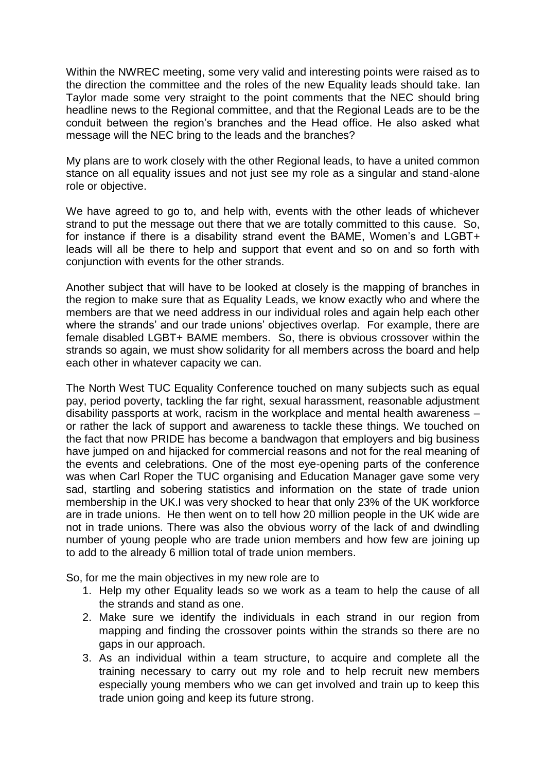Within the NWREC meeting, some very valid and interesting points were raised as to the direction the committee and the roles of the new Equality leads should take. Ian Taylor made some very straight to the point comments that the NEC should bring headline news to the Regional committee, and that the Regional Leads are to be the conduit between the region's branches and the Head office. He also asked what message will the NEC bring to the leads and the branches?

My plans are to work closely with the other Regional leads, to have a united common stance on all equality issues and not just see my role as a singular and stand-alone role or objective.

We have agreed to go to, and help with, events with the other leads of whichever strand to put the message out there that we are totally committed to this cause. So, for instance if there is a disability strand event the BAME, Women's and LGBT+ leads will all be there to help and support that event and so on and so forth with conjunction with events for the other strands.

Another subject that will have to be looked at closely is the mapping of branches in the region to make sure that as Equality Leads, we know exactly who and where the members are that we need address in our individual roles and again help each other where the strands' and our trade unions' objectives overlap. For example, there are female disabled LGBT+ BAME members. So, there is obvious crossover within the strands so again, we must show solidarity for all members across the board and help each other in whatever capacity we can.

The North West TUC Equality Conference touched on many subjects such as equal pay, period poverty, tackling the far right, sexual harassment, reasonable adjustment disability passports at work, racism in the workplace and mental health awareness – or rather the lack of support and awareness to tackle these things. We touched on the fact that now PRIDE has become a bandwagon that employers and big business have jumped on and hijacked for commercial reasons and not for the real meaning of the events and celebrations. One of the most eye-opening parts of the conference was when Carl Roper the TUC organising and Education Manager gave some very sad, startling and sobering statistics and information on the state of trade union membership in the UK.I was very shocked to hear that only 23% of the UK workforce are in trade unions. He then went on to tell how 20 million people in the UK wide are not in trade unions. There was also the obvious worry of the lack of and dwindling number of young people who are trade union members and how few are joining up to add to the already 6 million total of trade union members.

So, for me the main objectives in my new role are to

- 1. Help my other Equality leads so we work as a team to help the cause of all the strands and stand as one.
- 2. Make sure we identify the individuals in each strand in our region from mapping and finding the crossover points within the strands so there are no gaps in our approach.
- 3. As an individual within a team structure, to acquire and complete all the training necessary to carry out my role and to help recruit new members especially young members who we can get involved and train up to keep this trade union going and keep its future strong.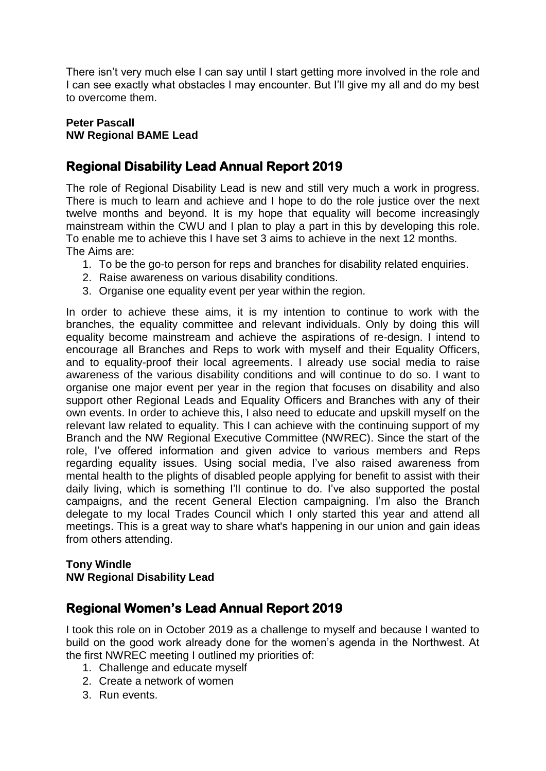There isn't very much else I can say until I start getting more involved in the role and I can see exactly what obstacles I may encounter. But I'll give my all and do my best to overcome them.

### **Peter Pascall NW Regional BAME Lead**

## **Regional Disability Lead Annual Report 2019**

The role of Regional Disability Lead is new and still very much a work in progress. There is much to learn and achieve and I hope to do the role justice over the next twelve months and beyond. It is my hope that equality will become increasingly mainstream within the CWU and I plan to play a part in this by developing this role. To enable me to achieve this I have set 3 aims to achieve in the next 12 months. The Aims are:

- 1. To be the go-to person for reps and branches for disability related enquiries.
- 2. Raise awareness on various disability conditions.
- 3. Organise one equality event per year within the region.

In order to achieve these aims, it is my intention to continue to work with the branches, the equality committee and relevant individuals. Only by doing this will equality become mainstream and achieve the aspirations of re-design. I intend to encourage all Branches and Reps to work with myself and their Equality Officers, and to equality-proof their local agreements. I already use social media to raise awareness of the various disability conditions and will continue to do so. I want to organise one major event per year in the region that focuses on disability and also support other Regional Leads and Equality Officers and Branches with any of their own events. In order to achieve this, I also need to educate and upskill myself on the relevant law related to equality. This I can achieve with the continuing support of my Branch and the NW Regional Executive Committee (NWREC). Since the start of the role, I've offered information and given advice to various members and Reps regarding equality issues. Using social media, I've also raised awareness from mental health to the plights of disabled people applying for benefit to assist with their daily living, which is something I'll continue to do. I've also supported the postal campaigns, and the recent General Election campaigning. I'm also the Branch delegate to my local Trades Council which I only started this year and attend all meetings. This is a great way to share what's happening in our union and gain ideas from others attending.

#### **Tony Windle NW Regional Disability Lead**

## **Regional Women's Lead Annual Report 2019**

I took this role on in October 2019 as a challenge to myself and because I wanted to build on the good work already done for the women's agenda in the Northwest. At the first NWREC meeting I outlined my priorities of:

- 1. Challenge and educate myself
- 2. Create a network of women
- 3. Run events.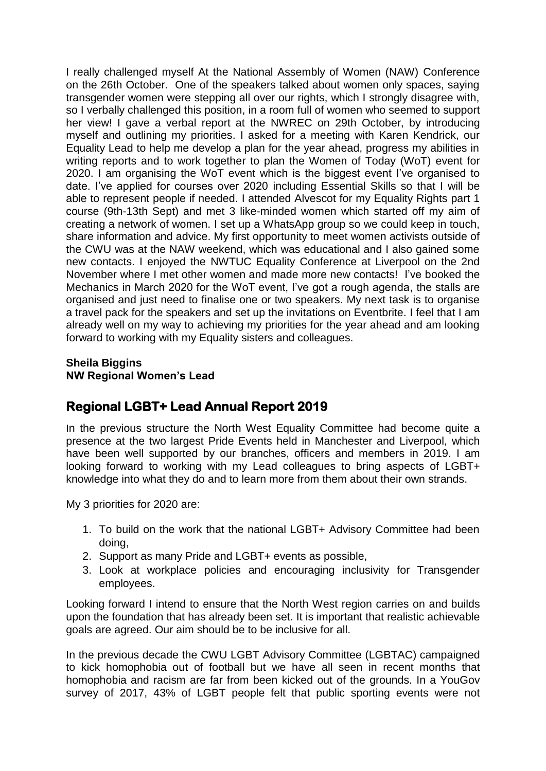I really challenged myself At the National Assembly of Women (NAW) Conference on the 26th October. One of the speakers talked about women only spaces, saying transgender women were stepping all over our rights, which I strongly disagree with, so I verbally challenged this position, in a room full of women who seemed to support her view! I gave a verbal report at the NWREC on 29th October, by introducing myself and outlining my priorities. I asked for a meeting with Karen Kendrick, our Equality Lead to help me develop a plan for the year ahead, progress my abilities in writing reports and to work together to plan the Women of Today (WoT) event for 2020. I am organising the WoT event which is the biggest event I've organised to date. I've applied for courses over 2020 including Essential Skills so that I will be able to represent people if needed. I attended Alvescot for my Equality Rights part 1 course (9th-13th Sept) and met 3 like-minded women which started off my aim of creating a network of women. I set up a WhatsApp group so we could keep in touch, share information and advice. My first opportunity to meet women activists outside of the CWU was at the NAW weekend, which was educational and I also gained some new contacts. I enjoyed the NWTUC Equality Conference at Liverpool on the 2nd November where I met other women and made more new contacts! I've booked the Mechanics in March 2020 for the WoT event, I've got a rough agenda, the stalls are organised and just need to finalise one or two speakers. My next task is to organise a travel pack for the speakers and set up the invitations on Eventbrite. I feel that I am already well on my way to achieving my priorities for the year ahead and am looking forward to working with my Equality sisters and colleagues.

### **Sheila Biggins NW Regional Women's Lead**

# **Regional LGBT+ Lead Annual Report 2019**

In the previous structure the North West Equality Committee had become quite a presence at the two largest Pride Events held in Manchester and Liverpool, which have been well supported by our branches, officers and members in 2019. I am looking forward to working with my Lead colleagues to bring aspects of LGBT+ knowledge into what they do and to learn more from them about their own strands.

My 3 priorities for 2020 are:

- 1. To build on the work that the national LGBT+ Advisory Committee had been doing,
- 2. Support as many Pride and LGBT+ events as possible,
- 3. Look at workplace policies and encouraging inclusivity for Transgender employees.

Looking forward I intend to ensure that the North West region carries on and builds upon the foundation that has already been set. It is important that realistic achievable goals are agreed. Our aim should be to be inclusive for all.

In the previous decade the CWU LGBT Advisory Committee (LGBTAC) campaigned to kick homophobia out of football but we have all seen in recent months that homophobia and racism are far from been kicked out of the grounds. In a YouGov survey of 2017, 43% of LGBT people felt that public sporting events were not